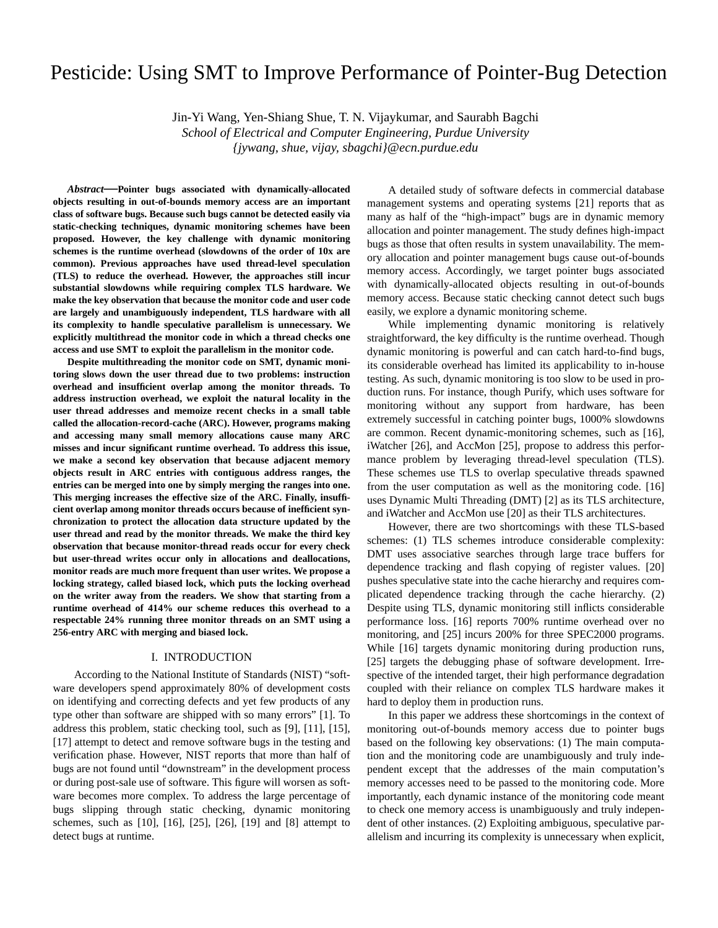# Pesticide: Using SMT to Improve Performance of Pointer-Bug Detection

Jin-Yi Wang, Yen-Shiang Shue, T. N. Vijaykumar, and Saurabh Bagchi

*School of Electrical and Computer Engineering, Purdue University*

*{jywang, shue, vijay, sbagchi}@ecn.purdue.edu*

*Abstract***—Pointer bugs associated with dynamically-allocated objects resulting in out-of-bounds memory access are an important class of software bugs. Because such bugs cannot be detected easily via static-checking techniques, dynamic monitoring schemes have been proposed. However, the key challenge with dynamic monitoring schemes is the runtime overhead (slowdowns of the order of 10x are common). Previous approaches have used thread-level speculation (TLS) to reduce the overhead. However, the approaches still incur substantial slowdowns while requiring complex TLS hardware. We make the key observation that because the monitor code and user code are largely and unambiguously independent, TLS hardware with all its complexity to handle speculative parallelism is unnecessary. We explicitly multithread the monitor code in which a thread checks one access and use SMT to exploit the parallelism in the monitor code.**

**Despite multithreading the monitor code on SMT, dynamic monitoring slows down the user thread due to two problems: instruction overhead and insufficient overlap among the monitor threads. To address instruction overhead, we exploit the natural locality in the user thread addresses and memoize recent checks in a small table called the allocation-record-cache (ARC). However, programs making and accessing many small memory allocations cause many ARC misses and incur significant runtime overhead. To address this issue, we make a second key observation that because adjacent memory objects result in ARC entries with contiguous address ranges, the entries can be merged into one by simply merging the ranges into one. This merging increases the effective size of the ARC. Finally, insufficient overlap among monitor threads occurs because of inefficient synchronization to protect the allocation data structure updated by the user thread and read by the monitor threads. We make the third key observation that because monitor-thread reads occur for every check but user-thread writes occur only in allocations and deallocations, monitor reads are much more frequent than user writes. We propose a locking strategy, called biased lock, which puts the locking overhead on the writer away from the readers. We show that starting from a runtime overhead of 414% our scheme reduces this overhead to a respectable 24% running three monitor threads on an SMT using a 256-entry ARC with merging and biased lock.**

# I. INTRODUCTION

<span id="page-0-0"></span>According to the National Institute of Standards (NIST) "software developers spend approximately 80% of development costs on identifying and correcting defects and yet few products of any type other than software are shipped with so many errors" [1]. To address this problem, static checking tool, such as [9], [11], [15], [17] attempt to detect and remove software bugs in the testing and verification phase. However, NIST reports that more than half of bugs are not found until "downstream" in the development process or during post-sale use of software. This figure will worsen as software becomes more complex. To address the large percentage of bugs slipping through static checking, dynamic monitoring schemes, such as [10], [16], [25], [26], [19] and [8] attempt to detect bugs at runtime.

A detailed study of software defects in commercial database management systems and operating systems [21] reports that as many as half of the "high-impact" bugs are in dynamic memory allocation and pointer management. The study defines high-impact bugs as those that often results in system unavailability. The memory allocation and pointer management bugs cause out-of-bounds memory access. Accordingly, we target pointer bugs associated with dynamically-allocated objects resulting in out-of-bounds memory access. Because static checking cannot detect such bugs easily, we explore a dynamic monitoring scheme.

While implementing dynamic monitoring is relatively straightforward, the key difficulty is the runtime overhead. Though dynamic monitoring is powerful and can catch hard-to-find bugs, its considerable overhead has limited its applicability to in-house testing. As such, dynamic monitoring is too slow to be used in production runs. For instance, though Purify, which uses software for monitoring without any support from hardware, has been extremely successful in catching pointer bugs, 1000% slowdowns are common. Recent dynamic-monitoring schemes, such as [16], iWatcher [26], and AccMon [25], propose to address this performance problem by leveraging thread-level speculation (TLS). These schemes use TLS to overlap speculative threads spawned from the user computation as well as the monitoring code. [16] uses Dynamic Multi Threading (DMT) [2] as its TLS architecture, and iWatcher and AccMon use [20] as their TLS architectures.

However, there are two shortcomings with these TLS-based schemes: (1) TLS schemes introduce considerable complexity: DMT uses associative searches through large trace buffers for dependence tracking and flash copying of register values. [20] pushes speculative state into the cache hierarchy and requires complicated dependence tracking through the cache hierarchy. (2) Despite using TLS, dynamic monitoring still inflicts considerable performance loss. [16] reports 700% runtime overhead over no monitoring, and [25] incurs 200% for three SPEC2000 programs. While [16] targets dynamic monitoring during production runs, [25] targets the debugging phase of software development. Irrespective of the intended target, their high performance degradation coupled with their reliance on complex TLS hardware makes it hard to deploy them in production runs.

In this paper we address these shortcomings in the context of monitoring out-of-bounds memory access due to pointer bugs based on the following key observations: (1) The main computation and the monitoring code are unambiguously and truly independent except that the addresses of the main computation's memory accesses need to be passed to the monitoring code. More importantly, each dynamic instance of the monitoring code meant to check one memory access is unambiguously and truly independent of other instances. (2) Exploiting ambiguous, speculative parallelism and incurring its complexity is unnecessary when explicit,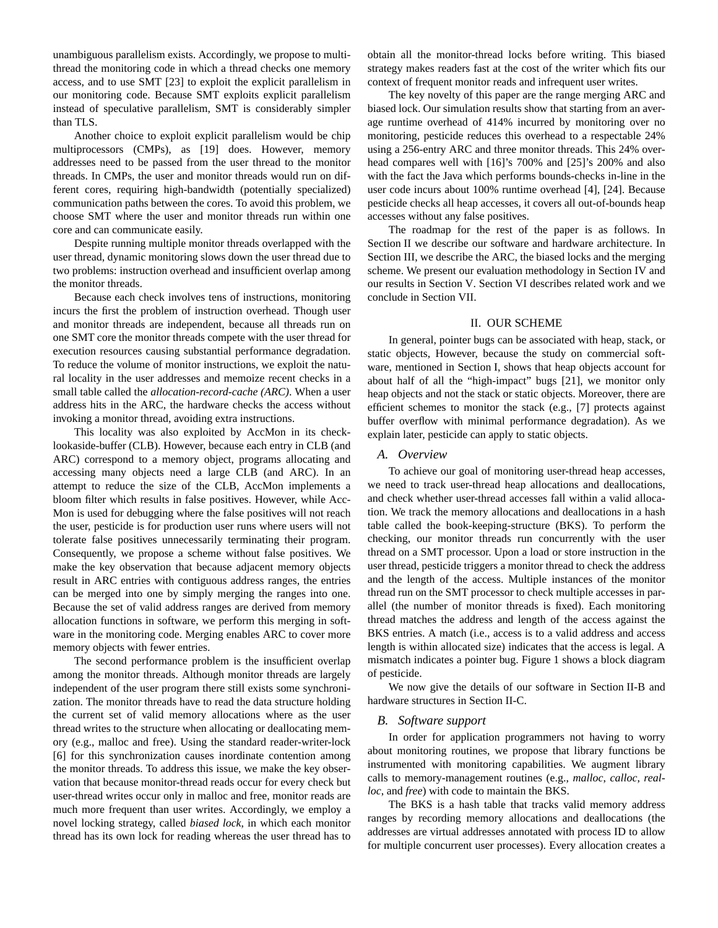unambiguous parallelism exists. Accordingly, we propose to multithread the monitoring code in which a thread checks one memory access, and to use SMT [23] to exploit the explicit parallelism in our monitoring code. Because SMT exploits explicit parallelism instead of speculative parallelism, SMT is considerably simpler than TLS.

Another choice to exploit explicit parallelism would be chip multiprocessors (CMPs), as [19] does. However, memory addresses need to be passed from the user thread to the monitor threads. In CMPs, the user and monitor threads would run on different cores, requiring high-bandwidth (potentially specialized) communication paths between the cores. To avoid this problem, we choose SMT where the user and monitor threads run within one core and can communicate easily.

Despite running multiple monitor threads overlapped with the user thread, dynamic monitoring slows down the user thread due to two problems: instruction overhead and insufficient overlap among the monitor threads.

Because each check involves tens of instructions, monitoring incurs the first the problem of instruction overhead. Though user and monitor threads are independent, because all threads run on one SMT core the monitor threads compete with the user thread for execution resources causing substantial performance degradation. To reduce the volume of monitor instructions, we exploit the natural locality in the user addresses and memoize recent checks in a small table called the *allocation-record-cache (ARC)*. When a user address hits in the ARC, the hardware checks the access without invoking a monitor thread, avoiding extra instructions.

This locality was also exploited by AccMon in its checklookaside-buffer (CLB). However, because each entry in CLB (and ARC) correspond to a memory object, programs allocating and accessing many objects need a large CLB (and ARC). In an attempt to reduce the size of the CLB, AccMon implements a bloom filter which results in false positives. However, while Acc-Mon is used for debugging where the false positives will not reach the user, pesticide is for production user runs where users will not tolerate false positives unnecessarily terminating their program. Consequently, we propose a scheme without false positives. We make the key observation that because adjacent memory objects result in ARC entries with contiguous address ranges, the entries can be merged into one by simply merging the ranges into one. Because the set of valid address ranges are derived from memory allocation functions in software, we perform this merging in software in the monitoring code. Merging enables ARC to cover more memory objects with fewer entries.

The second performance problem is the insufficient overlap among the monitor threads. Although monitor threads are largely independent of the user program there still exists some synchronization. The monitor threads have to read the data structure holding the current set of valid memory allocations where as the user thread writes to the structure when allocating or deallocating memory (e.g., malloc and free). Using the standard reader-writer-lock [6] for this synchronization causes inordinate contention among the monitor threads. To address this issue, we make the key observation that because monitor-thread reads occur for every check but user-thread writes occur only in malloc and free, monitor reads are much more frequent than user writes. Accordingly, we employ a novel locking strategy, called *biased lock*, in which each monitor thread has its own lock for reading whereas the user thread has to

obtain all the monitor-thread locks before writing. This biased strategy makes readers fast at the cost of the writer which fits our context of frequent monitor reads and infrequent user writes.

The key novelty of this paper are the range merging ARC and biased lock. Our simulation results show that starting from an average runtime overhead of 414% incurred by monitoring over no monitoring, pesticide reduces this overhead to a respectable 24% using a 256-entry ARC and three monitor threads. This 24% overhead compares well with [16]'s 700% and [25]'s 200% and also with the fact the Java which performs bounds-checks in-line in the user code incurs about 100% runtime overhead [4], [24]. Because pesticide checks all heap accesses, it covers all out-of-bounds heap accesses without any false positives.

The roadmap for the rest of the paper is as follows. In [Section II](#page-1-0) we describe our software and hardware architecture. In [Section III,](#page-3-0) we describe the ARC, the biased locks and the merging scheme. We present our evaluation methodology in [Section IV](#page-4-0) and our results in [Section V.](#page-4-1) [Section VI](#page-6-0) describes related work and we conclude in [Section VII](#page-7-0).

# II. OUR SCHEME

<span id="page-1-0"></span>In general, pointer bugs can be associated with heap, stack, or static objects, However, because the study on commercial software, mentioned in [Section I,](#page-0-0) shows that heap objects account for about half of all the "high-impact" bugs [21], we monitor only heap objects and not the stack or static objects. Moreover, there are efficient schemes to monitor the stack (e.g., [7] protects against buffer overflow with minimal performance degradation). As we explain later, pesticide can apply to static objects.

#### *A. Overview*

To achieve our goal of monitoring user-thread heap accesses, we need to track user-thread heap allocations and deallocations, and check whether user-thread accesses fall within a valid allocation. We track the memory allocations and deallocations in a hash table called the book-keeping-structure (BKS). To perform the checking, our monitor threads run concurrently with the user thread on a SMT processor. Upon a load or store instruction in the user thread, pesticide triggers a monitor thread to check the address and the length of the access. Multiple instances of the monitor thread run on the SMT processor to check multiple accesses in parallel (the number of monitor threads is fixed). Each monitoring thread matches the address and length of the access against the BKS entries. A match (i.e., access is to a valid address and access length is within allocated size) indicates that the access is legal. A mismatch indicates a pointer bug. [Figure 1](#page-2-0) shows a block diagram of pesticide.

We now give the details of our software in [Section II](#page-1-0)[-B](#page-1-1) and hardware structures in [Section II](#page-1-0)[-C.](#page-2-1)

# <span id="page-1-1"></span> *B. Software support*

In order for application programmers not having to worry about monitoring routines, we propose that library functions be instrumented with monitoring capabilities. We augment library calls to memory-management routines (e.g., *malloc*, *calloc*, *realloc*, and *free*) with code to maintain the BKS.

The BKS is a hash table that tracks valid memory address ranges by recording memory allocations and deallocations (the addresses are virtual addresses annotated with process ID to allow for multiple concurrent user processes). Every allocation creates a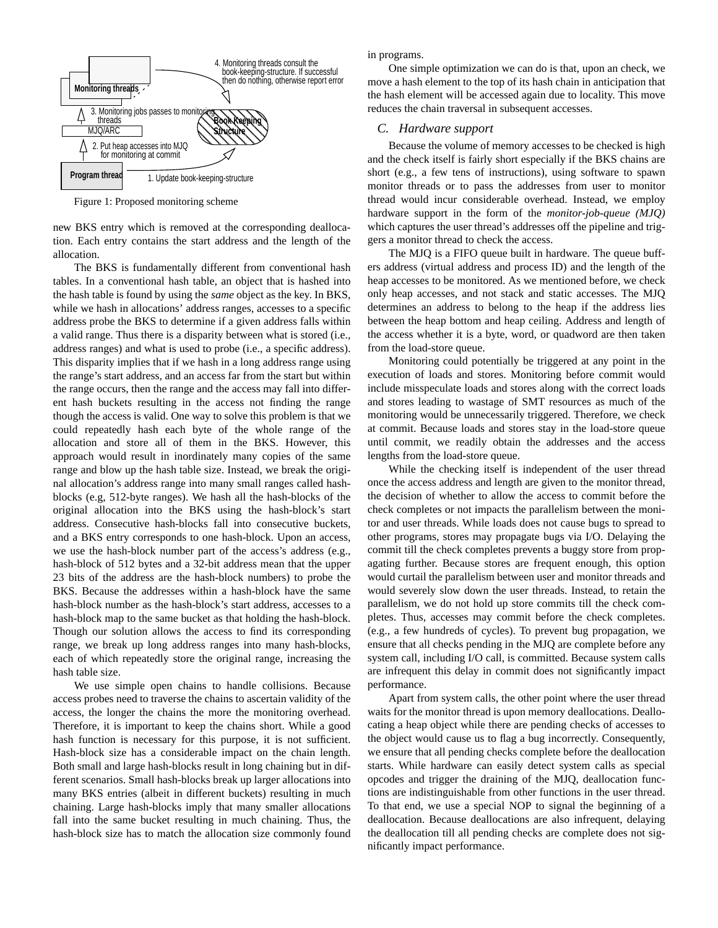

<span id="page-2-0"></span>Figure 1: Proposed monitoring scheme

new BKS entry which is removed at the corresponding deallocation. Each entry contains the start address and the length of the allocation.

The BKS is fundamentally different from conventional hash tables. In a conventional hash table, an object that is hashed into the hash table is found by using the *same* object as the key. In BKS, while we hash in allocations' address ranges, accesses to a specific address probe the BKS to determine if a given address falls within a valid range. Thus there is a disparity between what is stored (i.e., address ranges) and what is used to probe (i.e., a specific address). This disparity implies that if we hash in a long address range using the range's start address, and an access far from the start but within the range occurs, then the range and the access may fall into different hash buckets resulting in the access not finding the range though the access is valid. One way to solve this problem is that we could repeatedly hash each byte of the whole range of the allocation and store all of them in the BKS. However, this approach would result in inordinately many copies of the same range and blow up the hash table size. Instead, we break the original allocation's address range into many small ranges called hashblocks (e.g, 512-byte ranges). We hash all the hash-blocks of the original allocation into the BKS using the hash-block's start address. Consecutive hash-blocks fall into consecutive buckets, and a BKS entry corresponds to one hash-block. Upon an access, we use the hash-block number part of the access's address (e.g., hash-block of 512 bytes and a 32-bit address mean that the upper 23 bits of the address are the hash-block numbers) to probe the BKS. Because the addresses within a hash-block have the same hash-block number as the hash-block's start address, accesses to a hash-block map to the same bucket as that holding the hash-block. Though our solution allows the access to find its corresponding range, we break up long address ranges into many hash-blocks, each of which repeatedly store the original range, increasing the hash table size.

We use simple open chains to handle collisions. Because access probes need to traverse the chains to ascertain validity of the access, the longer the chains the more the monitoring overhead. Therefore, it is important to keep the chains short. While a good hash function is necessary for this purpose, it is not sufficient. Hash-block size has a considerable impact on the chain length. Both small and large hash-blocks result in long chaining but in different scenarios. Small hash-blocks break up larger allocations into many BKS entries (albeit in different buckets) resulting in much chaining. Large hash-blocks imply that many smaller allocations fall into the same bucket resulting in much chaining. Thus, the hash-block size has to match the allocation size commonly found in programs.

One simple optimization we can do is that, upon an check, we move a hash element to the top of its hash chain in anticipation that the hash element will be accessed again due to locality. This move reduces the chain traversal in subsequent accesses.

#### <span id="page-2-1"></span> *C. Hardware support*

Because the volume of memory accesses to be checked is high and the check itself is fairly short especially if the BKS chains are short (e.g., a few tens of instructions), using software to spawn monitor threads or to pass the addresses from user to monitor thread would incur considerable overhead. Instead, we employ hardware support in the form of the *monitor-job-queue (MJQ)* which captures the user thread's addresses off the pipeline and triggers a monitor thread to check the access.

The MJQ is a FIFO queue built in hardware. The queue buffers address (virtual address and process ID) and the length of the heap accesses to be monitored. As we mentioned before, we check only heap accesses, and not stack and static accesses. The MJQ determines an address to belong to the heap if the address lies between the heap bottom and heap ceiling. Address and length of the access whether it is a byte, word, or quadword are then taken from the load-store queue.

Monitoring could potentially be triggered at any point in the execution of loads and stores. Monitoring before commit would include misspeculate loads and stores along with the correct loads and stores leading to wastage of SMT resources as much of the monitoring would be unnecessarily triggered. Therefore, we check at commit. Because loads and stores stay in the load-store queue until commit, we readily obtain the addresses and the access lengths from the load-store queue.

While the checking itself is independent of the user thread once the access address and length are given to the monitor thread, the decision of whether to allow the access to commit before the check completes or not impacts the parallelism between the monitor and user threads. While loads does not cause bugs to spread to other programs, stores may propagate bugs via I/O. Delaying the commit till the check completes prevents a buggy store from propagating further. Because stores are frequent enough, this option would curtail the parallelism between user and monitor threads and would severely slow down the user threads. Instead, to retain the parallelism, we do not hold up store commits till the check completes. Thus, accesses may commit before the check completes. (e.g., a few hundreds of cycles). To prevent bug propagation, we ensure that all checks pending in the MJQ are complete before any system call, including I/O call, is committed. Because system calls are infrequent this delay in commit does not significantly impact performance.

Apart from system calls, the other point where the user thread waits for the monitor thread is upon memory deallocations. Deallocating a heap object while there are pending checks of accesses to the object would cause us to flag a bug incorrectly. Consequently, we ensure that all pending checks complete before the deallocation starts. While hardware can easily detect system calls as special opcodes and trigger the draining of the MJQ, deallocation functions are indistinguishable from other functions in the user thread. To that end, we use a special NOP to signal the beginning of a deallocation. Because deallocations are also infrequent, delaying the deallocation till all pending checks are complete does not significantly impact performance.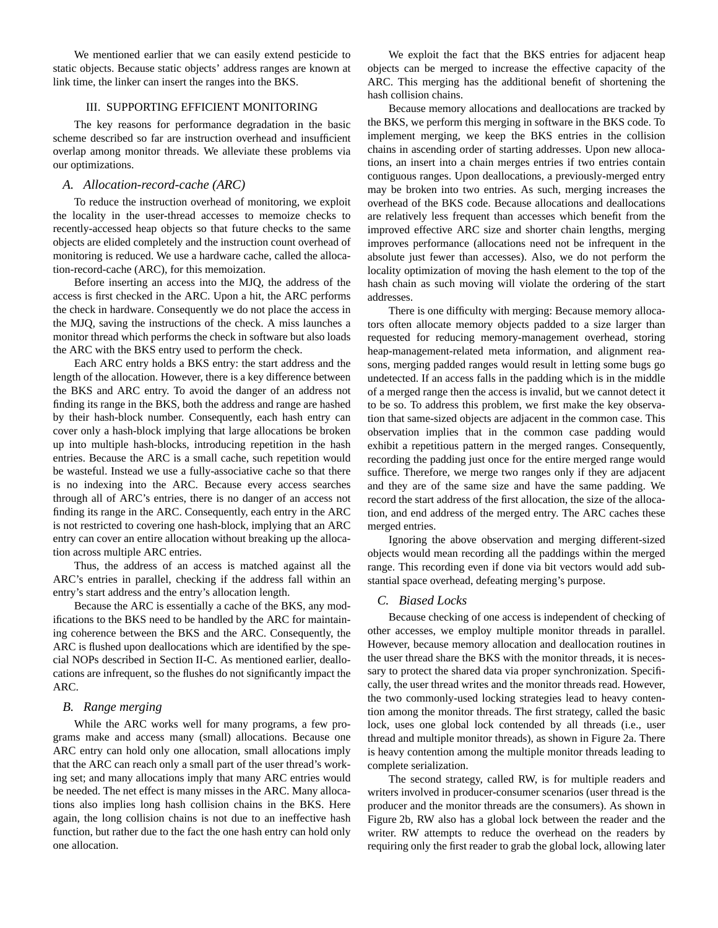We mentioned earlier that we can easily extend pesticide to static objects. Because static objects' address ranges are known at link time, the linker can insert the ranges into the BKS.

## III. SUPPORTING EFFICIENT MONITORING

<span id="page-3-0"></span>The key reasons for performance degradation in the basic scheme described so far are instruction overhead and insufficient overlap among monitor threads. We alleviate these problems via our optimizations.

## *A. Allocation-record-cache (ARC)*

To reduce the instruction overhead of monitoring, we exploit the locality in the user-thread accesses to memoize checks to recently-accessed heap objects so that future checks to the same objects are elided completely and the instruction count overhead of monitoring is reduced. We use a hardware cache, called the allocation-record-cache (ARC), for this memoization.

Before inserting an access into the MJQ, the address of the access is first checked in the ARC. Upon a hit, the ARC performs the check in hardware. Consequently we do not place the access in the MJQ, saving the instructions of the check. A miss launches a monitor thread which performs the check in software but also loads the ARC with the BKS entry used to perform the check.

Each ARC entry holds a BKS entry: the start address and the length of the allocation. However, there is a key difference between the BKS and ARC entry. To avoid the danger of an address not finding its range in the BKS, both the address and range are hashed by their hash-block number. Consequently, each hash entry can cover only a hash-block implying that large allocations be broken up into multiple hash-blocks, introducing repetition in the hash entries. Because the ARC is a small cache, such repetition would be wasteful. Instead we use a fully-associative cache so that there is no indexing into the ARC. Because every access searches through all of ARC's entries, there is no danger of an access not finding its range in the ARC. Consequently, each entry in the ARC is not restricted to covering one hash-block, implying that an ARC entry can cover an entire allocation without breaking up the allocation across multiple ARC entries.

Thus, the address of an access is matched against all the ARC's entries in parallel, checking if the address fall within an entry's start address and the entry's allocation length.

Because the ARC is essentially a cache of the BKS, any modifications to the BKS need to be handled by the ARC for maintaining coherence between the BKS and the ARC. Consequently, the ARC is flushed upon deallocations which are identified by the special NOPs described in [Section II](#page-1-0)[-C.](#page-2-1) As mentioned earlier, deallocations are infrequent, so the flushes do not significantly impact the ARC.

# <span id="page-3-2"></span> *B. Range merging*

While the ARC works well for many programs, a few programs make and access many (small) allocations. Because one ARC entry can hold only one allocation, small allocations imply that the ARC can reach only a small part of the user thread's working set; and many allocations imply that many ARC entries would be needed. The net effect is many misses in the ARC. Many allocations also implies long hash collision chains in the BKS. Here again, the long collision chains is not due to an ineffective hash function, but rather due to the fact the one hash entry can hold only one allocation.

We exploit the fact that the BKS entries for adjacent heap objects can be merged to increase the effective capacity of the ARC. This merging has the additional benefit of shortening the hash collision chains.

Because memory allocations and deallocations are tracked by the BKS, we perform this merging in software in the BKS code. To implement merging, we keep the BKS entries in the collision chains in ascending order of starting addresses. Upon new allocations, an insert into a chain merges entries if two entries contain contiguous ranges. Upon deallocations, a previously-merged entry may be broken into two entries. As such, merging increases the overhead of the BKS code. Because allocations and deallocations are relatively less frequent than accesses which benefit from the improved effective ARC size and shorter chain lengths, merging improves performance (allocations need not be infrequent in the absolute just fewer than accesses). Also, we do not perform the locality optimization of moving the hash element to the top of the hash chain as such moving will violate the ordering of the start addresses.

There is one difficulty with merging: Because memory allocators often allocate memory objects padded to a size larger than requested for reducing memory-management overhead, storing heap-management-related meta information, and alignment reasons, merging padded ranges would result in letting some bugs go undetected. If an access falls in the padding which is in the middle of a merged range then the access is invalid, but we cannot detect it to be so. To address this problem, we first make the key observation that same-sized objects are adjacent in the common case. This observation implies that in the common case padding would exhibit a repetitious pattern in the merged ranges. Consequently, recording the padding just once for the entire merged range would suffice. Therefore, we merge two ranges only if they are adjacent and they are of the same size and have the same padding. We record the start address of the first allocation, the size of the allocation, and end address of the merged entry. The ARC caches these merged entries.

Ignoring the above observation and merging different-sized objects would mean recording all the paddings within the merged range. This recording even if done via bit vectors would add substantial space overhead, defeating merging's purpose.

# <span id="page-3-1"></span> *C. Biased Locks*

Because checking of one access is independent of checking of other accesses, we employ multiple monitor threads in parallel. However, because memory allocation and deallocation routines in the user thread share the BKS with the monitor threads, it is necessary to protect the shared data via proper synchronization. Specifically, the user thread writes and the monitor threads read. However, the two commonly-used locking strategies lead to heavy contention among the monitor threads. The first strategy, called the basic lock, uses one global lock contended by all threads (i.e., user thread and multiple monitor threads), as shown in [Figure 2](#page-4-2)a. There is heavy contention among the multiple monitor threads leading to complete serialization.

The second strategy, called RW, is for multiple readers and writers involved in producer-consumer scenarios (user thread is the producer and the monitor threads are the consumers). As shown in [Figure 2b](#page-4-2), RW also has a global lock between the reader and the writer. RW attempts to reduce the overhead on the readers by requiring only the first reader to grab the global lock, allowing later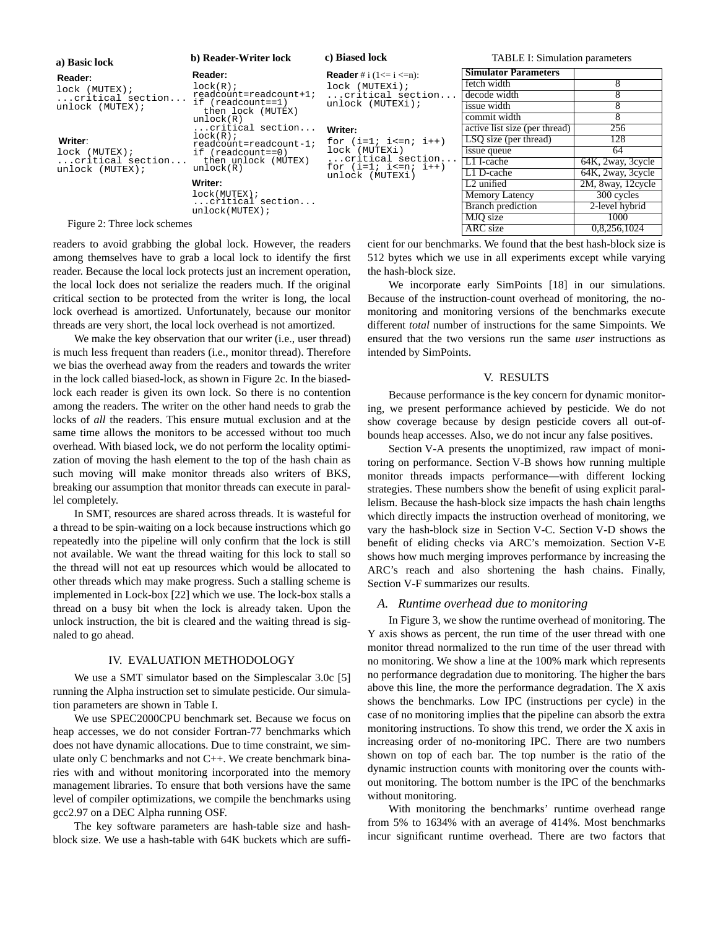| a) Basic lock                                                                           | b) Reader-Writer lock                                                                                  | c) Biased lock                                                                                                               | TABLE I: Simulation parameters                                                                      |                                                                             |
|-----------------------------------------------------------------------------------------|--------------------------------------------------------------------------------------------------------|------------------------------------------------------------------------------------------------------------------------------|-----------------------------------------------------------------------------------------------------|-----------------------------------------------------------------------------|
| Reader:<br>lock (MUTEX);<br>critical section<br>unlock (MUTEX);                         | Reader:<br>lock(R);<br>$readcount=readcount+1;$<br>if (readcount==1)<br>then lock (MUTEX)<br>unlock(R) | <b>Reader</b> # i $(1 \le i \le n)$ :<br>lock (MUTEXi);<br>critical section<br>unlock (MUTEXi);                              | <b>Simulator Parameters</b><br>fetch width<br>decode width<br>issue width<br>commit width           | 8                                                                           |
| Writer:<br>$lock$ (MUTEX);<br>critical section then unlock (MUTEX)<br>$unlock$ (MUTEX); | $\ldots$ critical section<br>lock(R);<br>$readcount=readcount-1;$<br>if (readcount==0)<br>unlock(R)    | Writer:<br>for $(i=1; i<=n; i++)$<br>lock (MUTEXi)<br>$\ldots$ critical section<br>for $(i=1; i<=n; i++)$<br>unlock (MUTEXi) | active list size (per thread)<br>LSO size (per thread)<br>issue queue<br>L1 I-cache<br>L1 D-cache   | 256<br>128<br>64<br>64K, 2way, 3cycle<br>64K, 2way, 3cycle                  |
| Figure 2: Three lock schemes                                                            | Writer:<br>lock(MUTEX);<br>$\ldots$ critical section<br>unlock(MUTEX);                                 |                                                                                                                              | L <sub>2</sub> unified<br><b>Memory Latency</b><br><b>Branch prediction</b><br>MJO size<br>ARC size | 2M, 8way, 12cycle<br>$300$ cycles<br>2-level hybrid<br>1000<br>0,8,256,1024 |

<span id="page-4-2"></span>readers to avoid grabbing the global lock. However, the readers among themselves have to grab a local lock to identify the first reader. Because the local lock protects just an increment operation, the local lock does not serialize the readers much. If the original critical section to be protected from the writer is long, the local lock overhead is amortized. Unfortunately, because our monitor threads are very short, the local lock overhead is not amortized.

We make the key observation that our writer (i.e., user thread) is much less frequent than readers (i.e., monitor thread). Therefore we bias the overhead away from the readers and towards the writer in the lock called biased-lock, as shown in [Figure 2c](#page-4-2). In the biasedlock each reader is given its own lock. So there is no contention among the readers. The writer on the other hand needs to grab the locks of *all* the readers. This ensure mutual exclusion and at the same time allows the monitors to be accessed without too much overhead. With biased lock, we do not perform the locality optimization of moving the hash element to the top of the hash chain as such moving will make monitor threads also writers of BKS, breaking our assumption that monitor threads can execute in parallel completely.

In SMT, resources are shared across threads. It is wasteful for a thread to be spin-waiting on a lock because instructions which go repeatedly into the pipeline will only confirm that the lock is still not available. We want the thread waiting for this lock to stall so the thread will not eat up resources which would be allocated to other threads which may make progress. Such a stalling scheme is implemented in Lock-box [22] which we use. The lock-box stalls a thread on a busy bit when the lock is already taken. Upon the unlock instruction, the bit is cleared and the waiting thread is signaled to go ahead.

## IV. EVALUATION METHODOLOGY

<span id="page-4-0"></span>We use a SMT simulator based on the Simplescalar 3.0c [5] running the Alpha instruction set to simulate pesticide. Our simulation parameters are shown in [Table I.](#page-4-3)

We use SPEC2000CPU benchmark set. Because we focus on heap accesses, we do not consider Fortran-77 benchmarks which does not have dynamic allocations. Due to time constraint, we simulate only C benchmarks and not C++. We create benchmark binaries with and without monitoring incorporated into the memory management libraries. To ensure that both versions have the same level of compiler optimizations, we compile the benchmarks using gcc2.97 on a DEC Alpha running OSF.

The key software parameters are hash-table size and hashblock size. We use a hash-table with 64K buckets which are suffi<span id="page-4-3"></span>cient for our benchmarks. We found that the best hash-block size is 512 bytes which we use in all experiments except while varying the hash-block size.

We incorporate early SimPoints [18] in our simulations. Because of the instruction-count overhead of monitoring, the nomonitoring and monitoring versions of the benchmarks execute different *total* number of instructions for the same Simpoints. We ensured that the two versions run the same *user* instructions as intended by SimPoints.

#### V. RESULTS

<span id="page-4-1"></span>Because performance is the key concern for dynamic monitoring, we present performance achieved by pesticide. We do not show coverage because by design pesticide covers all out-ofbounds heap accesses. Also, we do not incur any false positives.

[Section V](#page-4-1)[-A](#page-4-4) presents the unoptimized, raw impact of monitoring on performance. [Section V](#page-4-1)[-B](#page-5-1) shows how running multiple monitor threads impacts performance—with different locking strategies. These numbers show the benefit of using explicit parallelism. Because the hash-block size impacts the hash chain lengths which directly impacts the instruction overhead of monitoring, we vary the hash-block size in [Section V](#page-4-1)[-C](#page-3-1). [Section V](#page-4-1)[-D](#page-5-2) shows the benefit of eliding checks via ARC's memoization. [Section V](#page-4-1)[-E](#page-5-3) shows how much merging improves performance by increasing the ARC's reach and also shortening the hash chains. Finally, [Section V](#page-4-1)[-F](#page-6-1) summarizes our results.

# <span id="page-4-4"></span> *A. Runtime overhead due to monitoring*

In [Figure 3,](#page-5-0) we show the runtime overhead of monitoring. The Y axis shows as percent, the run time of the user thread with one monitor thread normalized to the run time of the user thread with no monitoring. We show a line at the 100% mark which represents no performance degradation due to monitoring. The higher the bars above this line, the more the performance degradation. The X axis shows the benchmarks. Low IPC (instructions per cycle) in the case of no monitoring implies that the pipeline can absorb the extra monitoring instructions. To show this trend, we order the X axis in increasing order of no-monitoring IPC. There are two numbers shown on top of each bar. The top number is the ratio of the dynamic instruction counts with monitoring over the counts without monitoring. The bottom number is the IPC of the benchmarks without monitoring.

With monitoring the benchmarks' runtime overhead range from 5% to 1634% with an average of 414%. Most benchmarks incur significant runtime overhead. There are two factors that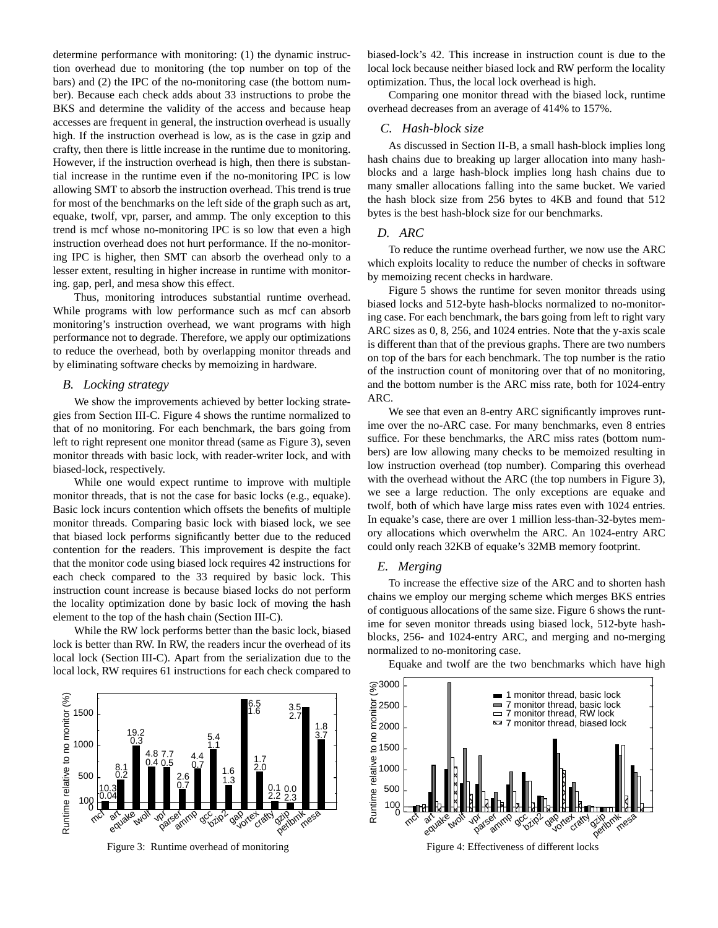determine performance with monitoring: (1) the dynamic instruction overhead due to monitoring (the top number on top of the bars) and (2) the IPC of the no-monitoring case (the bottom number). Because each check adds about 33 instructions to probe the BKS and determine the validity of the access and because heap accesses are frequent in general, the instruction overhead is usually high. If the instruction overhead is low, as is the case in gzip and crafty, then there is little increase in the runtime due to monitoring. However, if the instruction overhead is high, then there is substantial increase in the runtime even if the no-monitoring IPC is low allowing SMT to absorb the instruction overhead. This trend is true for most of the benchmarks on the left side of the graph such as art, equake, twolf, vpr, parser, and ammp. The only exception to this trend is mcf whose no-monitoring IPC is so low that even a high instruction overhead does not hurt performance. If the no-monitoring IPC is higher, then SMT can absorb the overhead only to a lesser extent, resulting in higher increase in runtime with monitoring. gap, perl, and mesa show this effect.

Thus, monitoring introduces substantial runtime overhead. While programs with low performance such as mcf can absorb monitoring's instruction overhead, we want programs with high performance not to degrade. Therefore, we apply our optimizations to reduce the overhead, both by overlapping monitor threads and by eliminating software checks by memoizing in hardware.

# <span id="page-5-1"></span> *B. Locking strategy*

We show the improvements achieved by better locking strategies from [Section III](#page-3-0)[-C](#page-3-1). [Figure 4](#page-5-4) shows the runtime normalized to that of no monitoring. For each benchmark, the bars going from left to right represent one monitor thread (same as [Figure 3\)](#page-5-0), seven monitor threads with basic lock, with reader-writer lock, and with biased-lock, respectively.

While one would expect runtime to improve with multiple monitor threads, that is not the case for basic locks (e.g., equake). Basic lock incurs contention which offsets the benefits of multiple monitor threads. Comparing basic lock with biased lock, we see that biased lock performs significantly better due to the reduced contention for the readers. This improvement is despite the fact that the monitor code using biased lock requires 42 instructions for each check compared to the 33 required by basic lock. This instruction count increase is because biased locks do not perform the locality optimization done by basic lock of moving the hash element to the top of the hash chain [\(Section III](#page-3-0)[-C](#page-3-1)).

While the RW lock performs better than the basic lock, biased lock is better than RW. In RW, the readers incur the overhead of its local lock ([Section III](#page-3-0)[-C\)](#page-3-1). Apart from the serialization due to the local lock, RW requires 61 instructions for each check compared to



<span id="page-5-0"></span>Figure 3: Runtime overhead of monitoring

biased-lock's 42. This increase in instruction count is due to the local lock because neither biased lock and RW perform the locality optimization. Thus, the local lock overhead is high.

Comparing one monitor thread with the biased lock, runtime overhead decreases from an average of 414% to 157%.

## *C. Hash-block size*

As discussed in [Section II](#page-1-0)[-B,](#page-1-1) a small hash-block implies long hash chains due to breaking up larger allocation into many hashblocks and a large hash-block implies long hash chains due to many smaller allocations falling into the same bucket. We varied the hash block size from 256 bytes to 4KB and found that 512 bytes is the best hash-block size for our benchmarks.

# <span id="page-5-2"></span> *D. ARC*

To reduce the runtime overhead further, we now use the ARC which exploits locality to reduce the number of checks in software by memoizing recent checks in hardware.

[Figure 5](#page-6-2) shows the runtime for seven monitor threads using biased locks and 512-byte hash-blocks normalized to no-monitoring case. For each benchmark, the bars going from left to right vary ARC sizes as 0, 8, 256, and 1024 entries. Note that the y-axis scale is different than that of the previous graphs. There are two numbers on top of the bars for each benchmark. The top number is the ratio of the instruction count of monitoring over that of no monitoring, and the bottom number is the ARC miss rate, both for 1024-entry ARC.

We see that even an 8-entry ARC significantly improves runtime over the no-ARC case. For many benchmarks, even 8 entries suffice. For these benchmarks, the ARC miss rates (bottom numbers) are low allowing many checks to be memoized resulting in low instruction overhead (top number). Comparing this overhead with the overhead without the ARC (the top numbers in [Figure 3\)](#page-5-0), we see a large reduction. The only exceptions are equake and twolf, both of which have large miss rates even with 1024 entries. In equake's case, there are over 1 million less-than-32-bytes memory allocations which overwhelm the ARC. An 1024-entry ARC could only reach 32KB of equake's 32MB memory footprint.

## <span id="page-5-3"></span> *E. Merging*

To increase the effective size of the ARC and to shorten hash chains we employ our merging scheme which merges BKS entries of contiguous allocations of the same size. [Figure 6](#page-6-3) shows the runtime for seven monitor threads using biased lock, 512-byte hashblocks, 256- and 1024-entry ARC, and merging and no-merging normalized to no-monitoring case.





<span id="page-5-4"></span>Figure 4: Effectiveness of different locks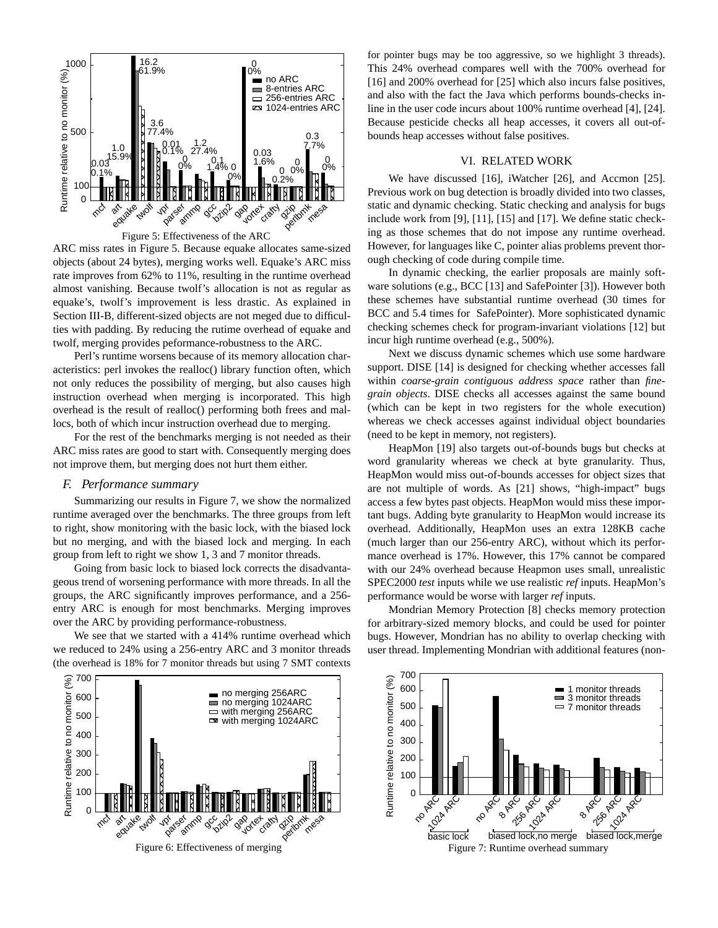

Figure 5: Effectiveness of the ARC

<span id="page-6-2"></span>ARC miss rates in [Figure 5](#page-6-2). Because equake allocates same-sized objects (about 24 bytes), merging works well. Equake's ARC miss rate improves from 62% to 11%, resulting in the runtime overhead almost vanishing. Because twolf's allocation is not as regular as equake's, twolf's improvement is less drastic. As explained in [Section III](#page-3-0)[-B](#page-3-2), different-sized objects are not meged due to difficulties with padding. By reducing the rutime overhead of equake and twolf, merging provides peformance-robustness to the ARC.

Perl's runtime worsens because of its memory allocation characteristics: perl invokes the realloc() library function often, which not only reduces the possibility of merging, but also causes high instruction overhead when merging is incorporated. This high overhead is the result of realloc() performing both frees and mallocs, both of which incur instruction overhead due to merging.

For the rest of the benchmarks merging is not needed as their ARC miss rates are good to start with. Consequently merging does not improve them, but merging does not hurt them either.

#### <span id="page-6-1"></span> *F. Performance summary*

Summarizing our results in [Figure 7](#page-6-4), we show the normalized runtime averaged over the benchmarks. The three groups from left to right, show monitoring with the basic lock, with the biased lock but no merging, and with the biased lock and merging. In each group from left to right we show 1, 3 and 7 monitor threads.

Going from basic lock to biased lock corrects the disadvantageous trend of worsening performance with more threads. In all the groups, the ARC significantly improves performance, and a 256 entry ARC is enough for most benchmarks. Merging improves over the ARC by providing performance-robustness.

We see that we started with a 414% runtime overhead which we reduced to 24% using a 256-entry ARC and 3 monitor threads (the overhead is 18% for 7 monitor threads but using 7 SMT contexts

<span id="page-6-3"></span>700 Runtime relative to no monitor (%) Runtime relative to no monitor (%) no merging 256ARC 600 no merging 1024ARC with merging 256ARC with merging 1024ARC 500 400 300 200 100  $\Omega$ **twolf** mesa mck art<sub>uake</sub> vorseland goodial gap de datal perlant Figure 6: Effectiveness of merging

for pointer bugs may be too aggressive, so we highlight 3 threads). This 24% overhead compares well with the 700% overhead for [16] and 200% overhead for [25] which also incurs false positives, and also with the fact the Java which performs bounds-checks inline in the user code incurs about 100% runtime overhead [4], [24]. Because pesticide checks all heap accesses, it covers all out-ofbounds heap accesses without false positives.

# VI. RELATED WORK

<span id="page-6-0"></span>We have discussed [16], iWatcher [26], and Accmon [25]. Previous work on bug detection is broadly divided into two classes, static and dynamic checking. Static checking and analysis for bugs include work from [9], [11], [15] and [17]. We define static checking as those schemes that do not impose any runtime overhead. However, for languages like C, pointer alias problems prevent thorough checking of code during compile time.

In dynamic checking, the earlier proposals are mainly software solutions (e.g., BCC [13] and SafePointer [3]). However both these schemes have substantial runtime overhead (30 times for BCC and 5.4 times for SafePointer). More sophisticated dynamic checking schemes check for program-invariant violations [12] but incur high runtime overhead (e.g., 500%).

Next we discuss dynamic schemes which use some hardware support. DISE [14] is designed for checking whether accesses fall within *coarse-grain contiguous address space* rather than *finegrain objects*. DISE checks all accesses against the same bound (which can be kept in two registers for the whole execution) whereas we check accesses against individual object boundaries (need to be kept in memory, not registers).

HeapMon [19] also targets out-of-bounds bugs but checks at word granularity whereas we check at byte granularity. Thus, HeapMon would miss out-of-bounds accesses for object sizes that are not multiple of words. As [21] shows, "high-impact" bugs access a few bytes past objects. HeapMon would miss these important bugs. Adding byte granularity to HeapMon would increase its overhead. Additionally, HeapMon uses an extra 128KB cache (much larger than our 256-entry ARC), without which its performance overhead is 17%. However, this 17% cannot be compared with our 24% overhead because Heapmon uses small, unrealistic SPEC2000 *test* inputs while we use realistic *ref* inputs. HeapMon's performance would be worse with larger *ref* inputs.

Mondrian Memory Protection [8] checks memory protection for arbitrary-sized memory blocks, and could be used for pointer bugs. However, Mondrian has no ability to overlap checking with user thread. Implementing Mondrian with additional features (non-

<span id="page-6-4"></span>